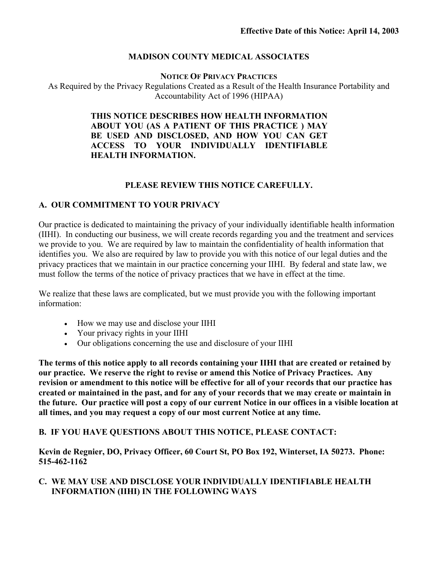### **MADISON COUNTY MEDICAL ASSOCIATES**

**NOTICE OF PRIVACY PRACTICES** As Required by the Privacy Regulations Created as a Result of the Health Insurance Portability and Accountability Act of 1996 (HIPAA)

### **THIS NOTICE DESCRIBES HOW HEALTH INFORMATION ABOUT YOU (AS A PATIENT OF THIS PRACTICE ) MAY BE USED AND DISCLOSED, AND HOW YOU CAN GET ACCESS TO YOUR INDIVIDUALLY IDENTIFIABLE HEALTH INFORMATION.**

### **PLEASE REVIEW THIS NOTICE CAREFULLY.**

### **A. OUR COMMITMENT TO YOUR PRIVACY**

Our practice is dedicated to maintaining the privacy of your individually identifiable health information (IIHI). In conducting our business, we will create records regarding you and the treatment and services we provide to you. We are required by law to maintain the confidentiality of health information that identifies you. We also are required by law to provide you with this notice of our legal duties and the privacy practices that we maintain in our practice concerning your IIHI. By federal and state law, we must follow the terms of the notice of privacy practices that we have in effect at the time.

We realize that these laws are complicated, but we must provide you with the following important information:

- How we may use and disclose your IIHI
- Your privacy rights in your IIHI
- Our obligations concerning the use and disclosure of your IIHI

**The terms of this notice apply to all records containing your IIHI that are created or retained by our practice. We reserve the right to revise or amend this Notice of Privacy Practices. Any revision or amendment to this notice will be effective for all of your records that our practice has created or maintained in the past, and for any of your records that we may create or maintain in the future. Our practice will post a copy of our current Notice in our offices in a visible location at all times, and you may request a copy of our most current Notice at any time.** 

### **B. IF YOU HAVE QUESTIONS ABOUT THIS NOTICE, PLEASE CONTACT:**

**Kevin de Regnier, DO, Privacy Officer, 60 Court St, PO Box 192, Winterset, IA 50273. Phone: 515-462-1162**

### **C. WE MAY USE AND DISCLOSE YOUR INDIVIDUALLY IDENTIFIABLE HEALTH INFORMATION (IIHI) IN THE FOLLOWING WAYS**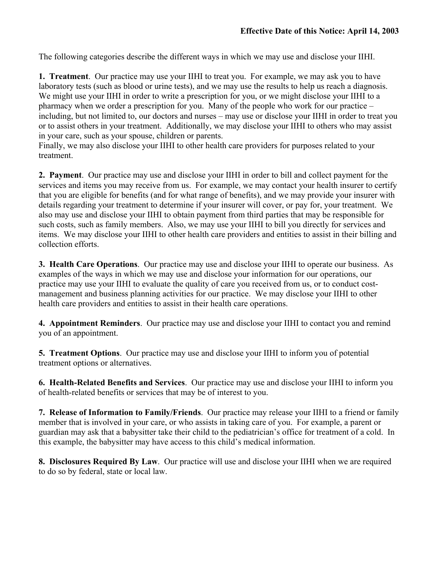The following categories describe the different ways in which we may use and disclose your IIHI.

**1. Treatment**. Our practice may use your IIHI to treat you. For example, we may ask you to have laboratory tests (such as blood or urine tests), and we may use the results to help us reach a diagnosis. We might use your IIHI in order to write a prescription for you, or we might disclose your IIHI to a pharmacy when we order a prescription for you. Many of the people who work for our practice – including, but not limited to, our doctors and nurses – may use or disclose your IIHI in order to treat you or to assist others in your treatment. Additionally, we may disclose your IIHI to others who may assist in your care, such as your spouse, children or parents.

Finally, we may also disclose your IIHI to other health care providers for purposes related to your treatment.

**2. Payment**. Our practice may use and disclose your IIHI in order to bill and collect payment for the services and items you may receive from us. For example, we may contact your health insurer to certify that you are eligible for benefits (and for what range of benefits), and we may provide your insurer with details regarding your treatment to determine if your insurer will cover, or pay for, your treatment. We also may use and disclose your IIHI to obtain payment from third parties that may be responsible for such costs, such as family members. Also, we may use your IIHI to bill you directly for services and items. We may disclose your IIHI to other health care providers and entities to assist in their billing and collection efforts.

**3. Health Care Operations**. Our practice may use and disclose your IIHI to operate our business. As examples of the ways in which we may use and disclose your information for our operations, our practice may use your IIHI to evaluate the quality of care you received from us, or to conduct costmanagement and business planning activities for our practice. We may disclose your IIHI to other health care providers and entities to assist in their health care operations.

**4. Appointment Reminders**. Our practice may use and disclose your IIHI to contact you and remind you of an appointment.

**5. Treatment Options**. Our practice may use and disclose your IIHI to inform you of potential treatment options or alternatives.

**6. Health-Related Benefits and Services**. Our practice may use and disclose your IIHI to inform you of health-related benefits or services that may be of interest to you.

**7. Release of Information to Family/Friends**. Our practice may release your IIHI to a friend or family member that is involved in your care, or who assists in taking care of you. For example, a parent or guardian may ask that a babysitter take their child to the pediatrician's office for treatment of a cold. In this example, the babysitter may have access to this child's medical information.

**8. Disclosures Required By Law**. Our practice will use and disclose your IIHI when we are required to do so by federal, state or local law.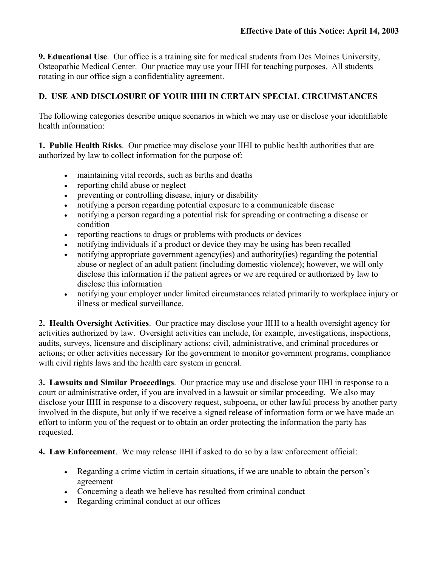**9. Educational Use**. Our office is a training site for medical students from Des Moines University, Osteopathic Medical Center. Our practice may use your IIHI for teaching purposes. All students rotating in our office sign a confidentiality agreement.

# **D. USE AND DISCLOSURE OF YOUR IIHI IN CERTAIN SPECIAL CIRCUMSTANCES**

The following categories describe unique scenarios in which we may use or disclose your identifiable health information:

**1. Public Health Risks**. Our practice may disclose your IIHI to public health authorities that are authorized by law to collect information for the purpose of:

- maintaining vital records, such as births and deaths
- reporting child abuse or neglect
- preventing or controlling disease, injury or disability
- notifying a person regarding potential exposure to a communicable disease
- notifying a person regarding a potential risk for spreading or contracting a disease or condition
- reporting reactions to drugs or problems with products or devices
- notifying individuals if a product or device they may be using has been recalled
- notifying appropriate government agency(ies) and authority(ies) regarding the potential abuse or neglect of an adult patient (including domestic violence); however, we will only disclose this information if the patient agrees or we are required or authorized by law to disclose this information
- notifying your employer under limited circumstances related primarily to workplace injury or illness or medical surveillance.

**2. Health Oversight Activities**. Our practice may disclose your IIHI to a health oversight agency for activities authorized by law. Oversight activities can include, for example, investigations, inspections, audits, surveys, licensure and disciplinary actions; civil, administrative, and criminal procedures or actions; or other activities necessary for the government to monitor government programs, compliance with civil rights laws and the health care system in general.

**3. Lawsuits and Similar Proceedings**. Our practice may use and disclose your IIHI in response to a court or administrative order, if you are involved in a lawsuit or similar proceeding. We also may disclose your IIHI in response to a discovery request, subpoena, or other lawful process by another party involved in the dispute, but only if we receive a signed release of information form or we have made an effort to inform you of the request or to obtain an order protecting the information the party has requested.

**4. Law Enforcement**. We may release IIHI if asked to do so by a law enforcement official:

- Regarding a crime victim in certain situations, if we are unable to obtain the person's agreement
- Concerning a death we believe has resulted from criminal conduct
- Regarding criminal conduct at our offices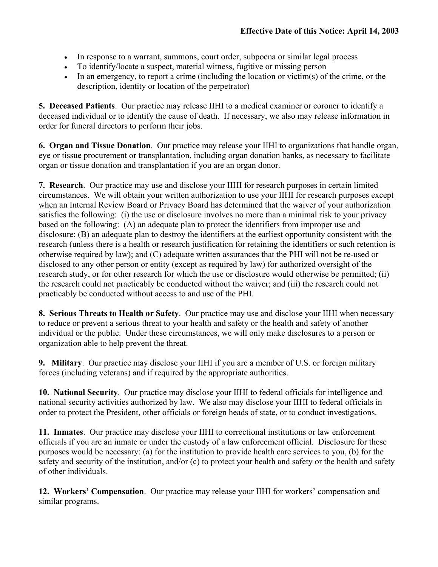- In response to a warrant, summons, court order, subpoena or similar legal process
- To identify/locate a suspect, material witness, fugitive or missing person
- In an emergency, to report a crime (including the location or victim(s) of the crime, or the description, identity or location of the perpetrator)

**5. Deceased Patients**. Our practice may release IIHI to a medical examiner or coroner to identify a deceased individual or to identify the cause of death. If necessary, we also may release information in order for funeral directors to perform their jobs.

**6. Organ and Tissue Donation**. Our practice may release your IIHI to organizations that handle organ, eye or tissue procurement or transplantation, including organ donation banks, as necessary to facilitate organ or tissue donation and transplantation if you are an organ donor.

**7. Research**. Our practice may use and disclose your IIHI for research purposes in certain limited circumstances. We will obtain your written authorization to use your IIHI for research purposes except when an Internal Review Board or Privacy Board has determined that the waiver of your authorization satisfies the following: (i) the use or disclosure involves no more than a minimal risk to your privacy based on the following: (A) an adequate plan to protect the identifiers from improper use and disclosure; (B) an adequate plan to destroy the identifiers at the earliest opportunity consistent with the research (unless there is a health or research justification for retaining the identifiers or such retention is otherwise required by law); and (C) adequate written assurances that the PHI will not be re-used or disclosed to any other person or entity (except as required by law) for authorized oversight of the research study, or for other research for which the use or disclosure would otherwise be permitted; (ii) the research could not practicably be conducted without the waiver; and (iii) the research could not practicably be conducted without access to and use of the PHI.

**8. Serious Threats to Health or Safety**. Our practice may use and disclose your IIHI when necessary to reduce or prevent a serious threat to your health and safety or the health and safety of another individual or the public. Under these circumstances, we will only make disclosures to a person or organization able to help prevent the threat.

**9. Military**. Our practice may disclose your IIHI if you are a member of U.S. or foreign military forces (including veterans) and if required by the appropriate authorities.

**10. National Security**. Our practice may disclose your IIHI to federal officials for intelligence and national security activities authorized by law. We also may disclose your IIHI to federal officials in order to protect the President, other officials or foreign heads of state, or to conduct investigations.

**11. Inmates**. Our practice may disclose your IIHI to correctional institutions or law enforcement officials if you are an inmate or under the custody of a law enforcement official. Disclosure for these purposes would be necessary: (a) for the institution to provide health care services to you, (b) for the safety and security of the institution, and/or (c) to protect your health and safety or the health and safety of other individuals.

**12. Workers' Compensation**. Our practice may release your IIHI for workers' compensation and similar programs.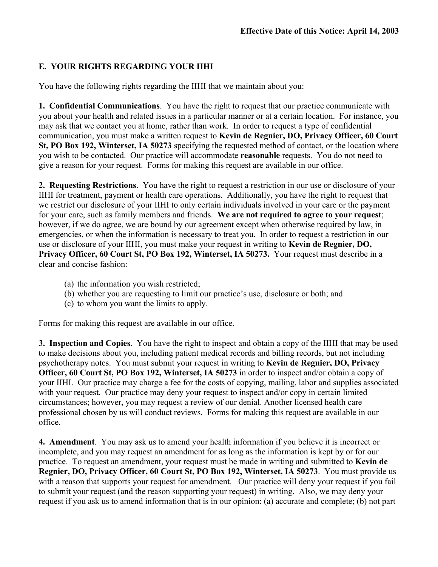## **E. YOUR RIGHTS REGARDING YOUR IIHI**

You have the following rights regarding the IIHI that we maintain about you:

**1. Confidential Communications**. You have the right to request that our practice communicate with you about your health and related issues in a particular manner or at a certain location. For instance, you may ask that we contact you at home, rather than work. In order to request a type of confidential communication, you must make a written request to **Kevin de Regnier, DO, Privacy Officer, 60 Court St, PO Box 192, Winterset, IA 50273** specifying the requested method of contact, or the location where you wish to be contacted. Our practice will accommodate **reasonable** requests. You do not need to give a reason for your request. Forms for making this request are available in our office.

**2. Requesting Restrictions**. You have the right to request a restriction in our use or disclosure of your IIHI for treatment, payment or health care operations. Additionally, you have the right to request that we restrict our disclosure of your IIHI to only certain individuals involved in your care or the payment for your care, such as family members and friends. **We are not required to agree to your request**; however, if we do agree, we are bound by our agreement except when otherwise required by law, in emergencies, or when the information is necessary to treat you. In order to request a restriction in our use or disclosure of your IIHI, you must make your request in writing to **Kevin de Regnier, DO, Privacy Officer, 60 Court St, PO Box 192, Winterset, IA 50273.** Your request must describe in a clear and concise fashion:

- (a) the information you wish restricted;
- (b) whether you are requesting to limit our practice's use, disclosure or both; and
- (c) to whom you want the limits to apply.

Forms for making this request are available in our office.

**3. Inspection and Copies**. You have the right to inspect and obtain a copy of the IIHI that may be used to make decisions about you, including patient medical records and billing records, but not including psychotherapy notes. You must submit your request in writing to **Kevin de Regnier, DO, Privacy Officer, 60 Court St, PO Box 192, Winterset, IA 50273** in order to inspect and/or obtain a copy of your IIHI. Our practice may charge a fee for the costs of copying, mailing, labor and supplies associated with your request. Our practice may deny your request to inspect and/or copy in certain limited circumstances; however, you may request a review of our denial. Another licensed health care professional chosen by us will conduct reviews. Forms for making this request are available in our office.

**4. Amendment**. You may ask us to amend your health information if you believe it is incorrect or incomplete, and you may request an amendment for as long as the information is kept by or for our practice. To request an amendment, your request must be made in writing and submitted to **Kevin de Regnier, DO, Privacy Officer, 60 Court St, PO Box 192, Winterset, IA 50273**. You must provide us with a reason that supports your request for amendment. Our practice will deny your request if you fail to submit your request (and the reason supporting your request) in writing. Also, we may deny your request if you ask us to amend information that is in our opinion: (a) accurate and complete; (b) not part